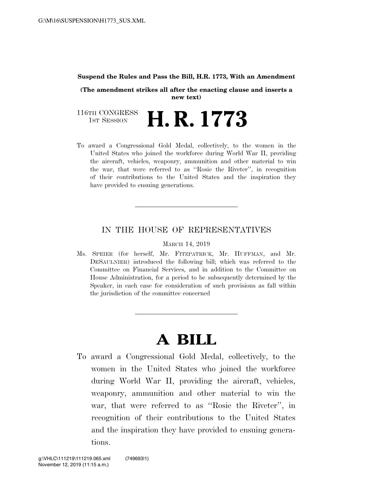#### **Suspend the Rules and Pass the Bill, H.R. 1773, With an Amendment**

**(The amendment strikes all after the enacting clause and inserts a new text)** 

116TH CONGRESS<br>1st Session H. R. 1773

To award a Congressional Gold Medal, collectively, to the women in the United States who joined the workforce during World War II, providing the aircraft, vehicles, weaponry, ammunition and other material to win the war, that were referred to as ''Rosie the Riveter'', in recognition of their contributions to the United States and the inspiration they have provided to ensuing generations.

#### IN THE HOUSE OF REPRESENTATIVES

MARCH 14, 2019

Ms. SPEIER (for herself, Mr. FITZPATRICK, Mr. HUFFMAN, and Mr. DESAULNIER) introduced the following bill; which was referred to the Committee on Financial Services, and in addition to the Committee on House Administration, for a period to be subsequently determined by the Speaker, in each case for consideration of such provisions as fall within the jurisdiction of the committee concerned

# **A BILL**

To award a Congressional Gold Medal, collectively, to the women in the United States who joined the workforce during World War II, providing the aircraft, vehicles, weaponry, ammunition and other material to win the war, that were referred to as ''Rosie the Riveter'', in recognition of their contributions to the United States and the inspiration they have provided to ensuing generations.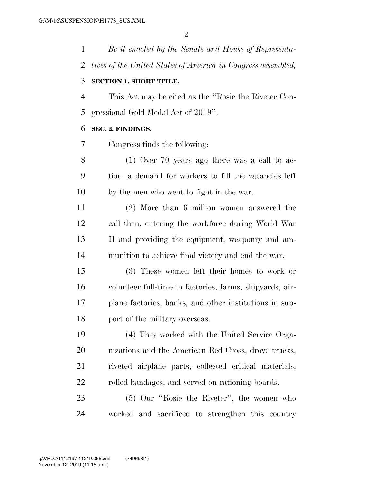*Be it enacted by the Senate and House of Representa- tives of the United States of America in Congress assembled,*  **SECTION 1. SHORT TITLE.** 

## This Act may be cited as the ''Rosie the Riveter Con-gressional Gold Medal Act of 2019''.

#### **SEC. 2. FINDINGS.**

Congress finds the following:

 (1) Over 70 years ago there was a call to ac- tion, a demand for workers to fill the vacancies left by the men who went to fight in the war.

 (2) More than 6 million women answered the call then, entering the workforce during World War II and providing the equipment, weaponry and am-munition to achieve final victory and end the war.

 (3) These women left their homes to work or volunteer full-time in factories, farms, shipyards, air- plane factories, banks, and other institutions in sup-port of the military overseas.

 (4) They worked with the United Service Orga- nizations and the American Red Cross, drove trucks, riveted airplane parts, collected critical materials, rolled bandages, and served on rationing boards.

 (5) Our ''Rosie the Riveter'', the women who worked and sacrificed to strengthen this country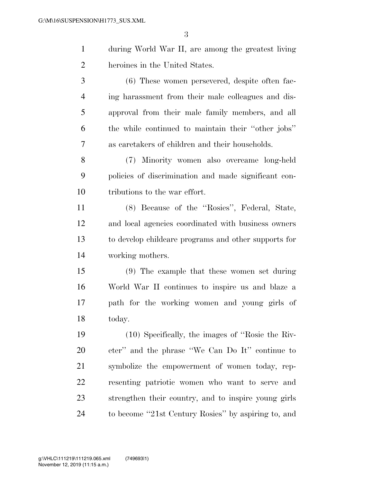during World War II, are among the greatest living heroines in the United States.

 (6) These women persevered, despite often fac- ing harassment from their male colleagues and dis- approval from their male family members, and all the while continued to maintain their ''other jobs'' as caretakers of children and their households.

 (7) Minority women also overcame long-held policies of discrimination and made significant con-tributions to the war effort.

 (8) Because of the ''Rosies'', Federal, State, and local agencies coordinated with business owners to develop childcare programs and other supports for working mothers.

 (9) The example that these women set during World War II continues to inspire us and blaze a path for the working women and young girls of today.

 (10) Specifically, the images of ''Rosie the Riv- eter'' and the phrase ''We Can Do It'' continue to symbolize the empowerment of women today, rep- resenting patriotic women who want to serve and strengthen their country, and to inspire young girls to become ''21st Century Rosies'' by aspiring to, and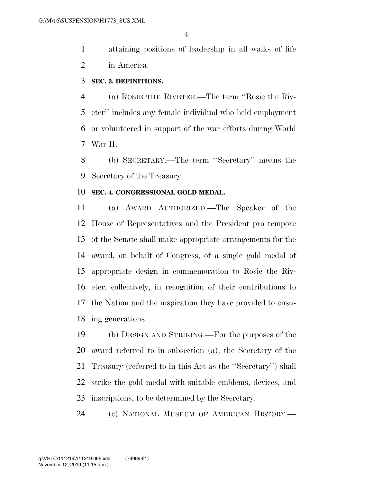attaining positions of leadership in all walks of life in America.

#### **SEC. 3. DEFINITIONS.**

 (a) ROSIE THE RIVETER.—The term ''Rosie the Riv- eter'' includes any female individual who held employment or volunteered in support of the war efforts during World War II.

 (b) SECRETARY.—The term ''Secretary'' means the Secretary of the Treasury.

#### **SEC. 4. CONGRESSIONAL GOLD MEDAL.**

 (a) AWARD AUTHORIZED.—The Speaker of the House of Representatives and the President pro tempore of the Senate shall make appropriate arrangements for the award, on behalf of Congress, of a single gold medal of appropriate design in commemoration to Rosie the Riv- eter, collectively, in recognition of their contributions to the Nation and the inspiration they have provided to ensu-ing generations.

 (b) DESIGN AND STRIKING.—For the purposes of the award referred to in subsection (a), the Secretary of the Treasury (referred to in this Act as the ''Secretary'') shall strike the gold medal with suitable emblems, devices, and inscriptions, to be determined by the Secretary.

(c) NATIONAL MUSEUM OF AMERICAN HISTORY.—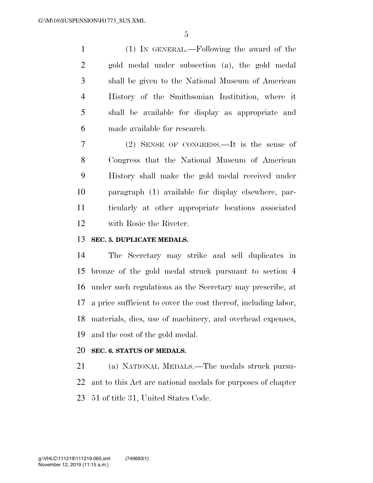(1) IN GENERAL.—Following the award of the gold medal under subsection (a), the gold medal shall be given to the National Museum of American History of the Smithsonian Institution, where it shall be available for display as appropriate and made available for research.

 (2) SENSE OF CONGRESS.—It is the sense of Congress that the National Museum of American History shall make the gold medal received under paragraph (1) available for display elsewhere, par- ticularly at other appropriate locations associated with Rosie the Riveter.

### **SEC. 5. DUPLICATE MEDALS.**

 The Secretary may strike and sell duplicates in bronze of the gold medal struck pursuant to section 4 under such regulations as the Secretary may prescribe, at a price sufficient to cover the cost thereof, including labor, materials, dies, use of machinery, and overhead expenses, and the cost of the gold medal.

#### **SEC. 6. STATUS OF MEDALS.**

 (a) NATIONAL MEDALS.—The medals struck pursu- ant to this Act are national medals for purposes of chapter 51 of title 31, United States Code.